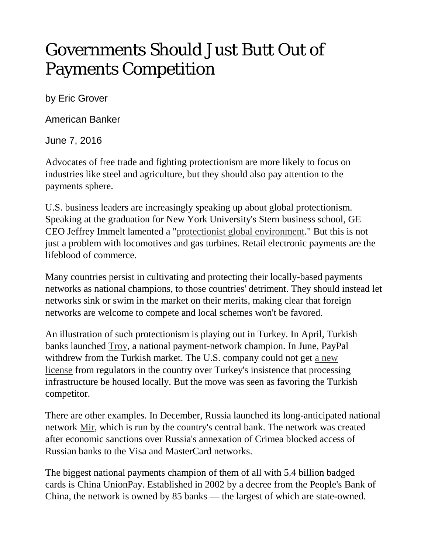## Governments Should Just Butt Out of Payments Competition

by Eric Grover

American Banker

June 7, 2016

Advocates of free trade and fighting protectionism are more likely to focus on industries like steel and agriculture, but they should also pay attention to the payments sphere.

U.S. business leaders are increasingly speaking up about global protectionism. Speaking at the graduation for New York University's Stern business school, GE CEO Jeffrey Immelt lamented a ["protectionist global environment.](http://fortune.com/2016/05/20/ge-immelt-globalization/)" But this is not just a problem with locomotives and gas turbines. Retail electronic payments are the lifeblood of commerce.

Many countries persist in cultivating and protecting their locally-based payments networks as national champions, to those countries' detriment. They should instead let networks sink or swim in the market on their merits, making clear that foreign networks are welcome to compete and local schemes won't be favored.

An illustration of such protectionism is playing out in Turkey. In April, Turkish banks launched [Troy,](https://troyodeme.com/en/turkiyenin-odeme-yontemi-troy-yapilan-ilk-islemle-kullanima-sunuldu/) a national payment-network champion. In June, PayPal withdrew from the Turkish market. The U.S. company could not get [a new](http://www.businessinsider.com/paypal-is-shutting-down-in-turkey-2016-6)  [license](http://www.businessinsider.com/paypal-is-shutting-down-in-turkey-2016-6) from regulators in the country over Turkey's insistence that processing infrastructure be housed locally. But the move was seen as favoring the Turkish competitor.

There are other examples. In December, Russia launched its long-anticipated national network [Mir,](http://sputniknews.com/business/20151215/1031780431/mir-card.html) which is run by the country's central bank. The network was created after economic sanctions over Russia's annexation of Crimea blocked access of Russian banks to the Visa and MasterCard networks.

The biggest national payments champion of them of all with 5.4 billion badged cards is China UnionPay. Established in 2002 by a decree from the People's Bank of China, the network is owned by 85 banks — the largest of which are state-owned.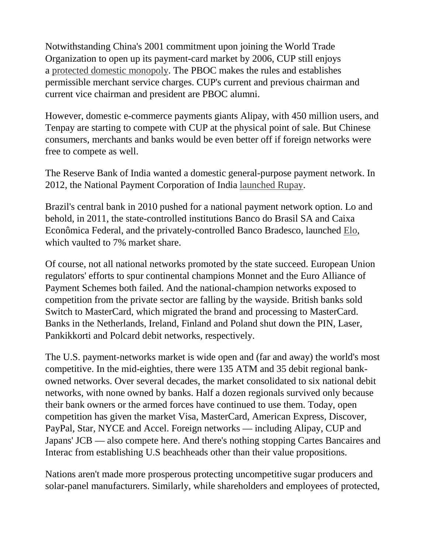Notwithstanding China's 2001 commitment upon joining the World Trade Organization to open up its payment-card market by 2006, CUP still enjoys a [protected domestic monopoly.](http://www.americanbanker.com/bankthink/do-visa-and-mastercard-have-a-chance-in-china-1074178-1.html) The PBOC makes the rules and establishes permissible merchant service charges. CUP's current and previous chairman and current vice chairman and president are PBOC alumni.

However, domestic e-commerce payments giants Alipay, with 450 million users, and Tenpay are starting to compete with CUP at the physical point of sale. But Chinese consumers, merchants and banks would be even better off if foreign networks were free to compete as well.

The Reserve Bank of India wanted a domestic general-purpose payment network. In 2012, the National Payment Corporation of India [launched Rupay.](http://www.npci.org.in/documents/Press%20Release.pdf)

Brazil's central bank in 2010 pushed for a national payment network option. Lo and behold, in 2011, the state-controlled institutions Banco do Brasil SA and Caixa Econômica Federal, and the privately-controlled Banco Bradesco, launched [Elo,](https://www.cartaoelo.com.br/) which vaulted to 7% market share.

Of course, not all national networks promoted by the state succeed. European Union regulators' efforts to spur continental champions Monnet and the Euro Alliance of Payment Schemes both failed. And the national-champion networks exposed to competition from the private sector are falling by the wayside. British banks sold Switch to MasterCard, which migrated the brand and processing to MasterCard. Banks in the Netherlands, Ireland, Finland and Poland shut down the PIN, Laser, Pankikkorti and Polcard debit networks, respectively.

The U.S. payment-networks market is wide open and (far and away) the world's most competitive. In the mid-eighties, there were 135 ATM and 35 debit regional bankowned networks. Over several decades, the market consolidated to six national debit networks, with none owned by banks. Half a dozen regionals survived only because their bank owners or the armed forces have continued to use them. Today, open competition has given the market Visa, MasterCard, American Express, Discover, PayPal, Star, NYCE and Accel. Foreign networks — including Alipay, CUP and Japans' JCB — also compete here. And there's nothing stopping Cartes Bancaires and Interac from establishing U.S beachheads other than their value propositions.

Nations aren't made more prosperous protecting uncompetitive sugar producers and solar-panel manufacturers. Similarly, while shareholders and employees of protected,